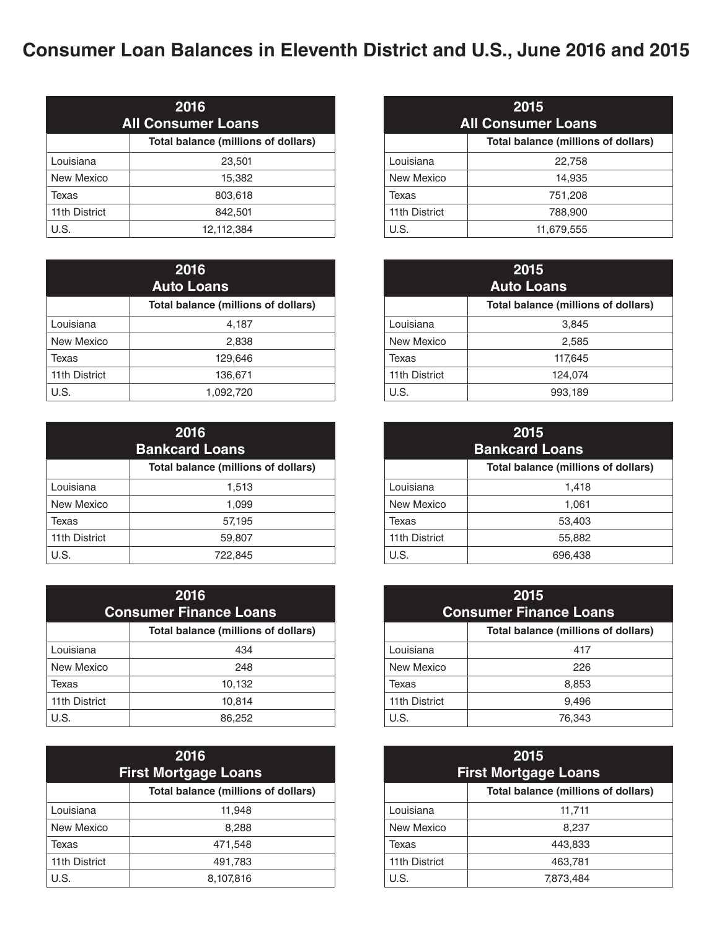## **Consumer Loan Balances in Eleventh District and U.S., June 2016 and 2015**

| 2016<br><b>All Consumer Loans</b> |                                     |
|-----------------------------------|-------------------------------------|
|                                   | Total balance (millions of dollars) |
| Louisiana                         | 23,501                              |
| New Mexico                        | 15,382                              |
| Texas                             | 803,618                             |
| 11th District                     | 842,501                             |
| U.S.                              | 12,112,384                          |

| 2016<br><b>Auto Loans</b> |                                            |
|---------------------------|--------------------------------------------|
|                           | <b>Total balance (millions of dollars)</b> |
| Louisiana                 | 4,187                                      |
| New Mexico                | 2,838                                      |
| Texas                     | 129,646                                    |
| 11th District             | 136,671                                    |
| U.S.                      | 1,092,720                                  |

| 2016<br><b>Bankcard Loans</b> |                                            |
|-------------------------------|--------------------------------------------|
|                               | <b>Total balance (millions of dollars)</b> |
| Louisiana                     | 1,513                                      |
| New Mexico                    | 1,099                                      |
| Texas                         | 57,195                                     |
| 11th District                 | 59,807                                     |
| U.S.                          | 722,845                                    |

| 2016<br><b>Consumer Finance Loans</b> |                                     |
|---------------------------------------|-------------------------------------|
|                                       | Total balance (millions of dollars) |
| Louisiana                             | 434                                 |
| New Mexico                            | 248                                 |
| Texas                                 | 10,132                              |
| 11th District                         | 10,814                              |
| U.S.                                  | 86,252                              |

| 2016<br><b>First Mortgage Loans</b> |                                     |
|-------------------------------------|-------------------------------------|
|                                     | Total balance (millions of dollars) |
| Louisiana                           | 11,948                              |
| New Mexico                          | 8,288                               |
| Texas                               | 471,548                             |
| 11th District                       | 491,783                             |
| U.S.                                | 8,107,816                           |

| 2015<br><b>All Consumer Loans</b> |                                            |
|-----------------------------------|--------------------------------------------|
|                                   | <b>Total balance (millions of dollars)</b> |
| Louisiana                         | 22,758                                     |
| New Mexico                        | 14,935                                     |
| Texas                             | 751,208                                    |
| 11th District                     | 788,900                                    |
| U.S.                              | 11,679,555                                 |

|               | 2015<br><b>Auto Loans</b>                  |
|---------------|--------------------------------------------|
|               | <b>Total balance (millions of dollars)</b> |
| Louisiana     | 3,845                                      |
| New Mexico    | 2,585                                      |
| Texas         | 117,645                                    |
| 11th District | 124,074                                    |
| U.S.          | 993,189                                    |

| 2015<br><b>Bankcard Loans</b> |                                            |
|-------------------------------|--------------------------------------------|
|                               | <b>Total balance (millions of dollars)</b> |
| Louisiana                     | 1,418                                      |
| New Mexico                    | 1,061                                      |
| Texas                         | 53,403                                     |
| 11th District                 | 55,882                                     |
| U.S.                          | 696,438                                    |

| 2015<br><b>Consumer Finance Loans</b> |                                     |
|---------------------------------------|-------------------------------------|
|                                       | Total balance (millions of dollars) |
| Louisiana                             | 417                                 |
| New Mexico                            | 226                                 |
| Texas                                 | 8,853                               |
| 11th District                         | 9,496                               |
| U.S.                                  | 76.343                              |

| 2015<br><b>First Mortgage Loans</b> |                                     |
|-------------------------------------|-------------------------------------|
|                                     | Total balance (millions of dollars) |
| Louisiana                           | 11,711                              |
| New Mexico                          | 8,237                               |
| Texas                               | 443,833                             |
| 11th District                       | 463,781                             |
| U.S.                                | 7,873,484                           |